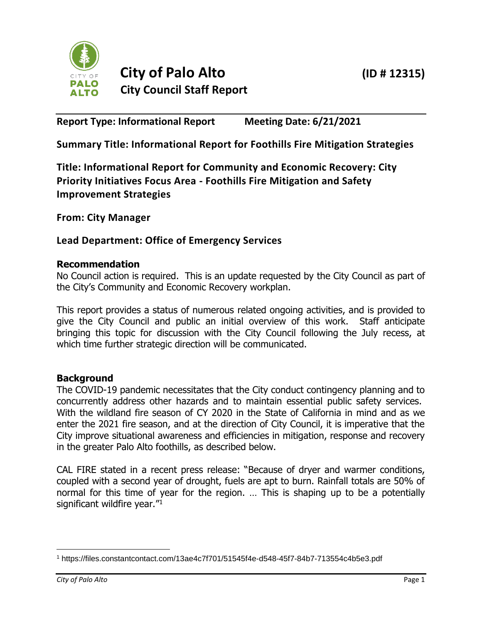

# **City of Palo Alto (ID # 12315) City Council Staff Report**

**Report Type: Informational Report Meeting Date: 6/21/2021**

**Summary Title: Informational Report for Foothills Fire Mitigation Strategies**

**Title: Informational Report for Community and Economic Recovery: City Priority Initiatives Focus Area - Foothills Fire Mitigation and Safety Improvement Strategies**

**From: City Manager**

# **Lead Department: Office of Emergency Services**

### **Recommendation**

No Council action is required. This is an update requested by the City Council as part of the City's Community and Economic Recovery workplan.

This report provides a status of numerous related ongoing activities, and is provided to give the City Council and public an initial overview of this work. Staff anticipate bringing this topic for discussion with the City Council following the July recess, at which time further strategic direction will be communicated.

### **Background**

The COVID-19 pandemic necessitates that the City conduct contingency planning and to concurrently address other hazards and to maintain essential public safety services. With the wildland fire season of CY 2020 in the State of California in mind and as we enter the 2021 fire season, and at the direction of City Council, it is imperative that the City improve situational awareness and efficiencies in mitigation, response and recovery in the greater Palo Alto foothills, as described below.

CAL FIRE stated in a recent press release: "Because of dryer and warmer conditions, coupled with a second year of drought, fuels are apt to burn. Rainfall totals are 50% of normal for this time of year for the region. … This is shaping up to be a potentially significant wildfire year."<sup>1</sup>

<sup>1</sup> https://files.constantcontact.com/13ae4c7f701/51545f4e-d548-45f7-84b7-713554c4b5e3.pdf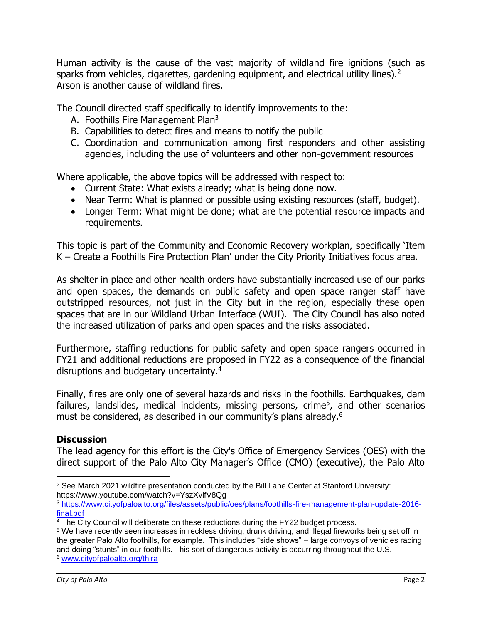Human activity is the cause of the vast majority of wildland fire ignitions (such as sparks from vehicles, cigarettes, gardening equipment, and electrical utility lines).<sup>2</sup> Arson is another cause of wildland fires.

The Council directed staff specifically to identify improvements to the:

- A. Foothills Fire Management Plan<sup>3</sup>
- B. Capabilities to detect fires and means to notify the public
- C. Coordination and communication among first responders and other assisting agencies, including the use of volunteers and other non-government resources

Where applicable, the above topics will be addressed with respect to:

- Current State: What exists already; what is being done now.
- Near Term: What is planned or possible using existing resources (staff, budget).
- Longer Term: What might be done; what are the potential resource impacts and requirements.

This topic is part of the Community and Economic Recovery workplan, specifically 'Item K – Create a Foothills Fire Protection Plan' under the City Priority Initiatives focus area.

As shelter in place and other health orders have substantially increased use of our parks and open spaces, the demands on public safety and open space ranger staff have outstripped resources, not just in the City but in the region, especially these open spaces that are in our Wildland Urban Interface (WUI). The City Council has also noted the increased utilization of parks and open spaces and the risks associated.

Furthermore, staffing reductions for public safety and open space rangers occurred in FY21 and additional reductions are proposed in FY22 as a consequence of the financial disruptions and budgetary uncertainty.<sup>4</sup>

Finally, fires are only one of several hazards and risks in the foothills. Earthquakes, dam failures, landslides, medical incidents, missing persons, crime<sup>5</sup>, and other scenarios must be considered, as described in our community's plans already.<sup>6</sup>

### **Discussion**

The lead agency for this effort is the City's Office of Emergency Services (OES) with the direct support of the Palo Alto City Manager's Office (CMO) (executive), the Palo Alto

 $2$  See March 2021 wildfire presentation conducted by the Bill Lane Center at Stanford University: https://www.youtube.com/watch?v=YszXvlfV8Qg

<sup>3</sup> [https://www.cityofpaloalto.org/files/assets/public/oes/plans/foothills-fire-management-plan-update-2016](https://www.cityofpaloalto.org/files/assets/public/oes/plans/foothills-fire-management-plan-update-2016-final.pdf) [final.pdf](https://www.cityofpaloalto.org/files/assets/public/oes/plans/foothills-fire-management-plan-update-2016-final.pdf)

<sup>4</sup> The City Council will deliberate on these reductions during the FY22 budget process.

<sup>5</sup> We have recently seen increases in reckless driving, drunk driving, and illegal fireworks being set off in the greater Palo Alto foothills, for example. This includes "side shows" – large convoys of vehicles racing and doing "stunts" in our foothills. This sort of dangerous activity is occurring throughout the U.S. <sup>6</sup> [www.cityofpaloalto.org/thira](http://www.cityofpaloalto.org/thira)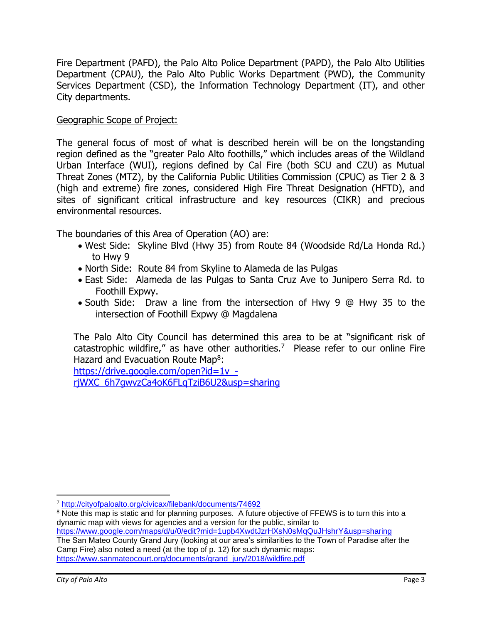Fire Department (PAFD), the Palo Alto Police Department (PAPD), the Palo Alto Utilities Department (CPAU), the Palo Alto Public Works Department (PWD), the Community Services Department (CSD), the Information Technology Department (IT), and other City departments.

#### Geographic Scope of Project:

The general focus of most of what is described herein will be on the longstanding region defined as the "greater Palo Alto foothills," which includes areas of the Wildland Urban Interface (WUI), regions defined by Cal Fire (both SCU and CZU) as Mutual Threat Zones (MTZ), by the California Public Utilities Commission (CPUC) as Tier 2 & 3 (high and extreme) fire zones, considered High Fire Threat Designation (HFTD), and sites of significant critical infrastructure and key resources (CIKR) and precious environmental resources.

The boundaries of this Area of Operation (AO) are:

- West Side: Skyline Blvd (Hwy 35) from Route 84 (Woodside Rd/La Honda Rd.) to Hwy 9
- North Side: Route 84 from Skyline to Alameda de las Pulgas
- East Side: Alameda de las Pulgas to Santa Cruz Ave to Junipero Serra Rd. to Foothill Expwy.
- South Side: Draw a line from the intersection of Hwy 9 @ Hwy 35 to the intersection of Foothill Expwy @ Magdalena

The Palo Alto City Council has determined this area to be at "significant risk of catastrophic wildfire," as have other authorities.<sup>7</sup> Please refer to our online Fire Hazard and Evacuation Route Map<sup>8</sup>:

[https://drive.google.com/open?id=1v\\_](https://drive.google.com/open?id=1v_-rjWXC_6h7gwvzCa4oK6FLqTziB6U2&usp=sharing) [rjWXC\\_6h7gwvzCa4oK6FLqTziB6U2&usp=sharing](https://drive.google.com/open?id=1v_-rjWXC_6h7gwvzCa4oK6FLqTziB6U2&usp=sharing)

<https://www.google.com/maps/d/u/0/edit?mid=1upb4XwdtJzrHXsN0sMqQuJHshrY&usp=sharing>

The San Mateo County Grand Jury (looking at our area's similarities to the Town of Paradise after the Camp Fire) also noted a need (at the top of p. 12) for such dynamic maps: [https://www.sanmateocourt.org/documents/grand\\_jury/2018/wildfire.pdf](https://www.sanmateocourt.org/documents/grand_jury/2018/wildfire.pdf)

<sup>7</sup> <http://cityofpaloalto.org/civicax/filebank/documents/74692>

<sup>&</sup>lt;sup>8</sup> Note this map is static and for planning purposes. A future objective of FFEWS is to turn this into a dynamic map with views for agencies and a version for the public, similar to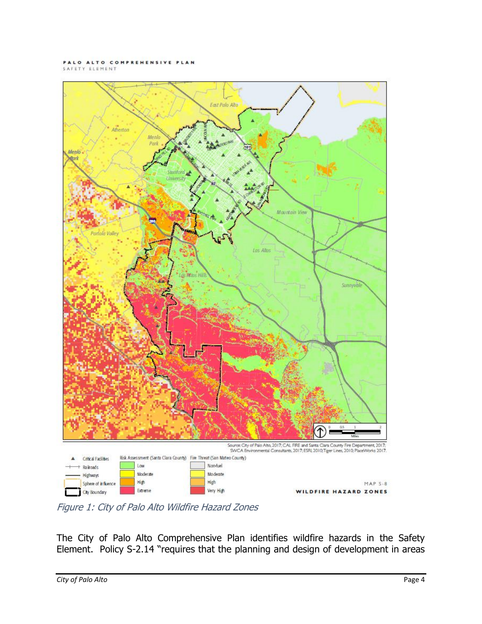#### PALO ALTO COMPREHENSIVE PLAN SAFETY ELEMENT



Figure 1: City of Palo Alto Wildfire Hazard Zones

The City of Palo Alto Comprehensive Plan identifies wildfire hazards in the Safety Element. Policy S-2.14 "requires that the planning and design of development in areas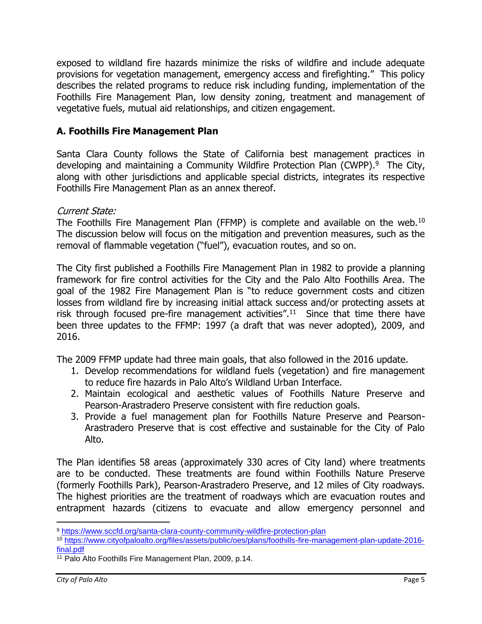exposed to wildland fire hazards minimize the risks of wildfire and include adequate provisions for vegetation management, emergency access and firefighting." This policy describes the related programs to reduce risk including funding, implementation of the Foothills Fire Management Plan, low density zoning, treatment and management of vegetative fuels, mutual aid relationships, and citizen engagement.

# **A. Foothills Fire Management Plan**

Santa Clara County follows the State of California best management practices in developing and maintaining a Community Wildfire Protection Plan (CWPP).<sup>9</sup> The City, along with other jurisdictions and applicable special districts, integrates its respective Foothills Fire Management Plan as an annex thereof.

# Current State:

The Foothills Fire Management Plan (FFMP) is complete and available on the web.<sup>10</sup> The discussion below will focus on the mitigation and prevention measures, such as the removal of flammable vegetation ("fuel"), evacuation routes, and so on.

The City first published a Foothills Fire Management Plan in 1982 to provide a planning framework for fire control activities for the City and the Palo Alto Foothills Area. The goal of the 1982 Fire Management Plan is "to reduce government costs and citizen losses from wildland fire by increasing initial attack success and/or protecting assets at risk through focused pre-fire management activities".<sup>11</sup> Since that time there have been three updates to the FFMP: 1997 (a draft that was never adopted), 2009, and 2016.

The 2009 FFMP update had three main goals, that also followed in the 2016 update.

- 1. Develop recommendations for wildland fuels (vegetation) and fire management to reduce fire hazards in Palo Alto's Wildland Urban Interface.
- 2. Maintain ecological and aesthetic values of Foothills Nature Preserve and Pearson-Arastradero Preserve consistent with fire reduction goals.
- 3. Provide a fuel management plan for Foothills Nature Preserve and Pearson-Arastradero Preserve that is cost effective and sustainable for the City of Palo Alto.

The Plan identifies 58 areas (approximately 330 acres of City land) where treatments are to be conducted. These treatments are found within Foothills Nature Preserve (formerly Foothills Park), Pearson-Arastradero Preserve, and 12 miles of City roadways. The highest priorities are the treatment of roadways which are evacuation routes and entrapment hazards (citizens to evacuate and allow emergency personnel and

<sup>9</sup> <https://www.sccfd.org/santa-clara-county-community-wildfire-protection-plan>

<sup>10</sup> [https://www.cityofpaloalto.org/files/assets/public/oes/plans/foothills-fire-management-plan-update-2016](https://www.cityofpaloalto.org/files/assets/public/oes/plans/foothills-fire-management-plan-update-2016-final.pdf) [final.pdf](https://www.cityofpaloalto.org/files/assets/public/oes/plans/foothills-fire-management-plan-update-2016-final.pdf)

<sup>11</sup> Palo Alto Foothills Fire Management Plan, 2009, p.14.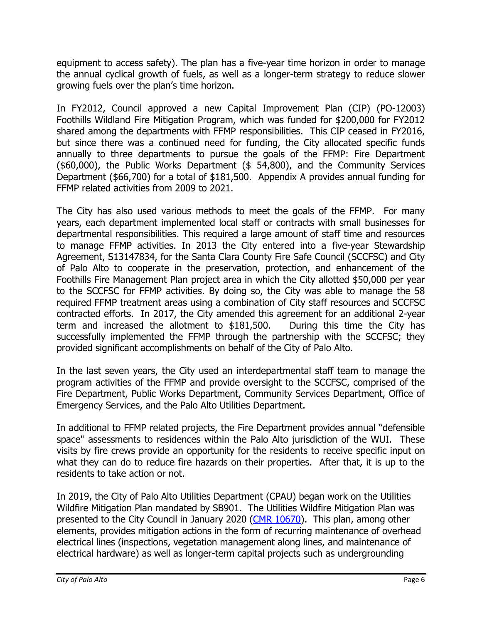equipment to access safety). The plan has a five-year time horizon in order to manage the annual cyclical growth of fuels, as well as a longer-term strategy to reduce slower growing fuels over the plan's time horizon.

In FY2012, Council approved a new Capital Improvement Plan (CIP) (PO-12003) Foothills Wildland Fire Mitigation Program, which was funded for \$200,000 for FY2012 shared among the departments with FFMP responsibilities. This CIP ceased in FY2016, but since there was a continued need for funding, the City allocated specific funds annually to three departments to pursue the goals of the FFMP: Fire Department (\$60,000), the Public Works Department (\$ 54,800), and the Community Services Department (\$66,700) for a total of \$181,500. Appendix A provides annual funding for FFMP related activities from 2009 to 2021.

The City has also used various methods to meet the goals of the FFMP. For many years, each department implemented local staff or contracts with small businesses for departmental responsibilities. This required a large amount of staff time and resources to manage FFMP activities. In 2013 the City entered into a five-year Stewardship Agreement, S13147834, for the Santa Clara County Fire Safe Council (SCCFSC) and City of Palo Alto to cooperate in the preservation, protection, and enhancement of the Foothills Fire Management Plan project area in which the City allotted \$50,000 per year to the SCCFSC for FFMP activities. By doing so, the City was able to manage the 58 required FFMP treatment areas using a combination of City staff resources and SCCFSC contracted efforts. In 2017, the City amended this agreement for an additional 2-year term and increased the allotment to \$181,500. During this time the City has successfully implemented the FFMP through the partnership with the SCCFSC; they provided significant accomplishments on behalf of the City of Palo Alto.

In the last seven years, the City used an interdepartmental staff team to manage the program activities of the FFMP and provide oversight to the SCCFSC, comprised of the Fire Department, Public Works Department, Community Services Department, Office of Emergency Services, and the Palo Alto Utilities Department.

In additional to FFMP related projects, the Fire Department provides annual "defensible space" assessments to residences within the Palo Alto jurisdiction of the WUI. These visits by fire crews provide an opportunity for the residents to receive specific input on what they can do to reduce fire hazards on their properties. After that, it is up to the residents to take action or not.

In 2019, the City of Palo Alto Utilities Department (CPAU) began work on the Utilities Wildfire Mitigation Plan mandated by SB901. The Utilities Wildfire Mitigation Plan was presented to the City Council in January 2020 [\(CMR 10670\)](https://www.cityofpaloalto.org/files/assets/public/agendas-minutes-reports/reports/city-manager-reports-cmrs/year-archive/2020/id-10670-mini-packet-01212020.pdf?t=53268.17). This plan, among other elements, provides mitigation actions in the form of recurring maintenance of overhead electrical lines (inspections, vegetation management along lines, and maintenance of electrical hardware) as well as longer-term capital projects such as undergrounding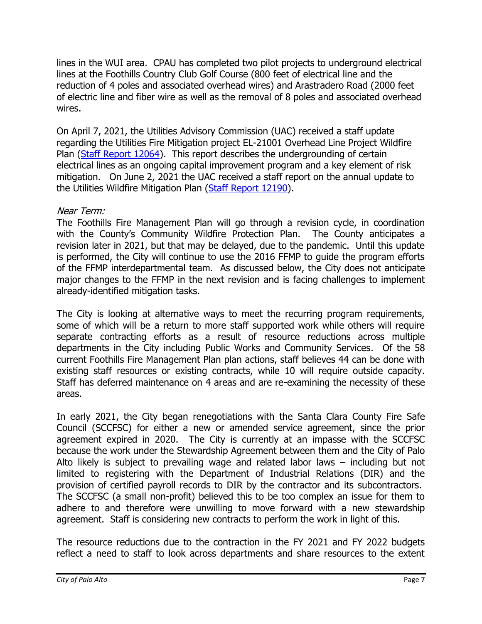lines in the WUI area. CPAU has completed two pilot projects to underground electrical lines at the Foothills Country Club Golf Course (800 feet of electrical line and the reduction of 4 poles and associated overhead wires) and Arastradero Road (2000 feet of electric line and fiber wire as well as the removal of 8 poles and associated overhead wires.

On April 7, 2021, the Utilities Advisory Commission (UAC) received a staff update regarding the Utilities Fire Mitigation project EL-21001 Overhead Line Project Wildfire Plan [\(Staff Report 12064\)](https://www.cityofpaloalto.org/files/assets/public/agendas-minutes-reports/agendas-minutes/utilities-advisory-commission/archived-agenda-and-minutes/agendas-and-minutes-2021/04-07-2021-special/id-12064.pdf). This report describes the undergrounding of certain electrical lines as an ongoing capital improvement program and a key element of risk mitigation. On June 2, 2021 the UAC received a staff report on the annual update to the Utilities Wildfire Mitigation Plan [\(Staff Report 12190\)](https://www.cityofpaloalto.org/files/assets/public/agendas-minutes-reports/agendas-minutes/utilities-advisory-commission/archived-agenda-and-minutes/agendas-and-minutes-2021/06-02-2021-special/id-12190-item-2.pdf).

# Near Term:

The Foothills Fire Management Plan will go through a revision cycle, in coordination with the County's Community Wildfire Protection Plan. The County anticipates a revision later in 2021, but that may be delayed, due to the pandemic. Until this update is performed, the City will continue to use the 2016 FFMP to guide the program efforts of the FFMP interdepartmental team. As discussed below, the City does not anticipate major changes to the FFMP in the next revision and is facing challenges to implement already-identified mitigation tasks.

The City is looking at alternative ways to meet the recurring program requirements, some of which will be a return to more staff supported work while others will require separate contracting efforts as a result of resource reductions across multiple departments in the City including Public Works and Community Services. Of the 58 current Foothills Fire Management Plan plan actions, staff believes 44 can be done with existing staff resources or existing contracts, while 10 will require outside capacity. Staff has deferred maintenance on 4 areas and are re-examining the necessity of these areas.

In early 2021, the City began renegotiations with the Santa Clara County Fire Safe Council (SCCFSC) for either a new or amended service agreement, since the prior agreement expired in 2020. The City is currently at an impasse with the SCCFSC because the work under the Stewardship Agreement between them and the City of Palo Alto likely is subject to prevailing wage and related labor laws – including but not limited to registering with the Department of Industrial Relations (DIR) and the provision of certified payroll records to DIR by the contractor and its subcontractors. The SCCFSC (a small non-profit) believed this to be too complex an issue for them to adhere to and therefore were unwilling to move forward with a new stewardship agreement. Staff is considering new contracts to perform the work in light of this.

The resource reductions due to the contraction in the FY 2021 and FY 2022 budgets reflect a need to staff to look across departments and share resources to the extent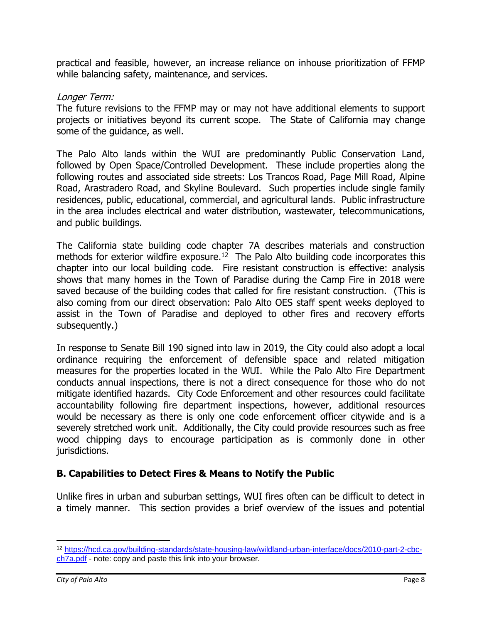practical and feasible, however, an increase reliance on inhouse prioritization of FFMP while balancing safety, maintenance, and services.

#### Longer Term:

The future revisions to the FFMP may or may not have additional elements to support projects or initiatives beyond its current scope. The State of California may change some of the guidance, as well.

The Palo Alto lands within the WUI are predominantly Public Conservation Land, followed by Open Space/Controlled Development. These include properties along the following routes and associated side streets: Los Trancos Road, Page Mill Road, Alpine Road, Arastradero Road, and Skyline Boulevard. Such properties include single family residences, public, educational, commercial, and agricultural lands. Public infrastructure in the area includes electrical and water distribution, wastewater, telecommunications, and public buildings.

The California state building code chapter 7A describes materials and construction methods for exterior wildfire exposure.<sup>12</sup> The Palo Alto building code incorporates this chapter into our local building code. Fire resistant construction is effective: analysis shows that many homes in the Town of Paradise during the Camp Fire in 2018 were saved because of the building codes that called for fire resistant construction. (This is also coming from our direct observation: Palo Alto OES staff spent weeks deployed to assist in the Town of Paradise and deployed to other fires and recovery efforts subsequently.)

In response to Senate Bill 190 signed into law in 2019, the City could also adopt a local ordinance requiring the enforcement of defensible space and related mitigation measures for the properties located in the WUI. While the Palo Alto Fire Department conducts annual inspections, there is not a direct consequence for those who do not mitigate identified hazards. City Code Enforcement and other resources could facilitate accountability following fire department inspections, however, additional resources would be necessary as there is only one code enforcement officer citywide and is a severely stretched work unit. Additionally, the City could provide resources such as free wood chipping days to encourage participation as is commonly done in other jurisdictions.

# **B. Capabilities to Detect Fires & Means to Notify the Public**

Unlike fires in urban and suburban settings, WUI fires often can be difficult to detect in a timely manner. This section provides a brief overview of the issues and potential

<sup>12</sup> [https://hcd.ca.gov/building-standards/state-housing-law/wildland-urban-interface/docs/2010-part-2-cbc](https://hcd.ca.gov/building-standards/state-housing-law/wildland-urban-interface/docs/2010-part-2-cbc-ch7a.pdf)[ch7a.pdf](https://hcd.ca.gov/building-standards/state-housing-law/wildland-urban-interface/docs/2010-part-2-cbc-ch7a.pdf) - note: copy and paste this link into your browser.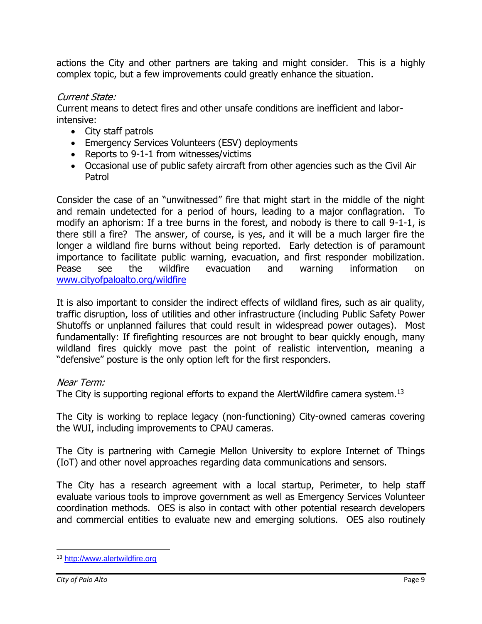actions the City and other partners are taking and might consider. This is a highly complex topic, but a few improvements could greatly enhance the situation.

# Current State:

Current means to detect fires and other unsafe conditions are inefficient and laborintensive:

- City staff patrols
- Emergency Services Volunteers (ESV) deployments
- Reports to 9-1-1 from witnesses/victims
- Occasional use of public safety aircraft from other agencies such as the Civil Air Patrol

Consider the case of an "unwitnessed" fire that might start in the middle of the night and remain undetected for a period of hours, leading to a major conflagration. To modify an aphorism: If a tree burns in the forest, and nobody is there to call 9-1-1, is there still a fire? The answer, of course, is yes, and it will be a much larger fire the longer a wildland fire burns without being reported. Early detection is of paramount importance to facilitate public warning, evacuation, and first responder mobilization. Pease see the wildfire evacuation and warning information on [www.cityofpaloalto.org/wildfire](http://www.cityofpaloalto.org/wildfire)

It is also important to consider the indirect effects of wildland fires, such as air quality, traffic disruption, loss of utilities and other infrastructure (including Public Safety Power Shutoffs or unplanned failures that could result in widespread power outages). Most fundamentally: If firefighting resources are not brought to bear quickly enough, many wildland fires quickly move past the point of realistic intervention, meaning a "defensive" posture is the only option left for the first responders.

### Near Term:

The City is supporting regional efforts to expand the AlertWildfire camera system.<sup>13</sup>

The City is working to replace legacy (non-functioning) City-owned cameras covering the WUI, including improvements to CPAU cameras.

The City is partnering with Carnegie Mellon University to explore Internet of Things (IoT) and other novel approaches regarding data communications and sensors.

The City has a research agreement with a local startup, Perimeter, to help staff evaluate various tools to improve government as well as Emergency Services Volunteer coordination methods. OES is also in contact with other potential research developers and commercial entities to evaluate new and emerging solutions. OES also routinely

<sup>13</sup> [http://www.alertwildfire.org](http://www.alertwildfire.org/)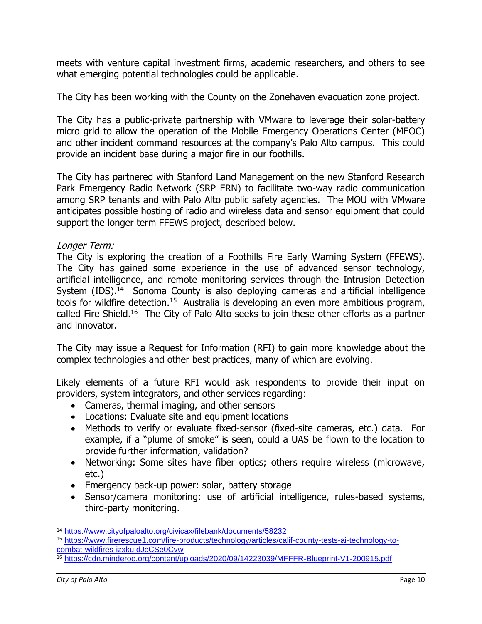meets with venture capital investment firms, academic researchers, and others to see what emerging potential technologies could be applicable.

The City has been working with the County on the Zonehaven evacuation zone project.

The City has a public-private partnership with VMware to leverage their solar-battery micro grid to allow the operation of the Mobile Emergency Operations Center (MEOC) and other incident command resources at the company's Palo Alto campus. This could provide an incident base during a major fire in our foothills.

The City has partnered with Stanford Land Management on the new Stanford Research Park Emergency Radio Network (SRP ERN) to facilitate two-way radio communication among SRP tenants and with Palo Alto public safety agencies. The MOU with VMware anticipates possible hosting of radio and wireless data and sensor equipment that could support the longer term FFEWS project, described below.

#### Longer Term:

The City is exploring the creation of a Foothills Fire Early Warning System (FFEWS). The City has gained some experience in the use of advanced sensor technology, artificial intelligence, and remote monitoring services through the Intrusion Detection System (IDS).<sup>14</sup> Sonoma County is also deploying cameras and artificial intelligence tools for wildfire detection.<sup>15</sup> Australia is developing an even more ambitious program, called Fire Shield.<sup>16</sup> The City of Palo Alto seeks to join these other efforts as a partner and innovator.

The City may issue a Request for Information (RFI) to gain more knowledge about the complex technologies and other best practices, many of which are evolving.

Likely elements of a future RFI would ask respondents to provide their input on providers, system integrators, and other services regarding:

- Cameras, thermal imaging, and other sensors
- Locations: Evaluate site and equipment locations
- Methods to verify or evaluate fixed-sensor (fixed-site cameras, etc.) data. For example, if a "plume of smoke" is seen, could a UAS be flown to the location to provide further information, validation?
- Networking: Some sites have fiber optics; others require wireless (microwave, etc.)
- Emergency back-up power: solar, battery storage
- Sensor/camera monitoring: use of artificial intelligence, rules-based systems, third-party monitoring.

<sup>14</sup> <https://www.cityofpaloalto.org/civicax/filebank/documents/58232>

<sup>15</sup> [https://www.firerescue1.com/fire-products/technology/articles/calif-county-tests-ai-technology-to](https://www.firerescue1.com/fire-products/technology/articles/calif-county-tests-ai-technology-to-combat-wildfires-izxkuIdJcCSe0Cvw)[combat-wildfires-izxkuIdJcCSe0Cvw](https://www.firerescue1.com/fire-products/technology/articles/calif-county-tests-ai-technology-to-combat-wildfires-izxkuIdJcCSe0Cvw)

<sup>16</sup> <https://cdn.minderoo.org/content/uploads/2020/09/14223039/MFFFR-Blueprint-V1-200915.pdf>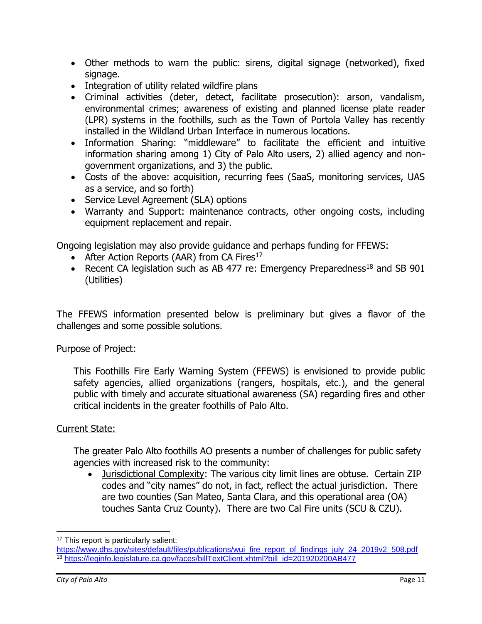- Other methods to warn the public: sirens, digital signage (networked), fixed signage.
- Integration of utility related wildfire plans
- Criminal activities (deter, detect, facilitate prosecution): arson, vandalism, environmental crimes; awareness of existing and planned license plate reader (LPR) systems in the foothills, such as the Town of Portola Valley has recently installed in the Wildland Urban Interface in numerous locations.
- Information Sharing: "middleware" to facilitate the efficient and intuitive information sharing among 1) City of Palo Alto users, 2) allied agency and nongovernment organizations, and 3) the public.
- Costs of the above: acquisition, recurring fees (SaaS, monitoring services, UAS as a service, and so forth)
- Service Level Agreement (SLA) options
- Warranty and Support: maintenance contracts, other ongoing costs, including equipment replacement and repair.

Ongoing legislation may also provide guidance and perhaps funding for FFEWS:

- After Action Reports (AAR) from CA Fires $17$
- Recent CA legislation such as AB 477 re: Emergency Preparedness<sup>18</sup> and SB 901 (Utilities)

The FFEWS information presented below is preliminary but gives a flavor of the challenges and some possible solutions.

### Purpose of Project:

This Foothills Fire Early Warning System (FFEWS) is envisioned to provide public safety agencies, allied organizations (rangers, hospitals, etc.), and the general public with timely and accurate situational awareness (SA) regarding fires and other critical incidents in the greater foothills of Palo Alto.

# Current State:

The greater Palo Alto foothills AO presents a number of challenges for public safety agencies with increased risk to the community:

• Jurisdictional Complexity: The various city limit lines are obtuse. Certain ZIP codes and "city names" do not, in fact, reflect the actual jurisdiction. There are two counties (San Mateo, Santa Clara, and this operational area (OA) touches Santa Cruz County). There are two Cal Fire units (SCU & CZU).

<sup>17</sup> This report is particularly salient:

[https://www.dhs.gov/sites/default/files/publications/wui\\_fire\\_report\\_of\\_findings\\_july\\_24\\_2019v2\\_508.pdf](https://www.dhs.gov/sites/default/files/publications/wui_fire_report_of_findings_july_24_2019v2_508.pdf) <sup>18</sup> [https://leginfo.legislature.ca.gov/faces/billTextClient.xhtml?bill\\_id=201920200AB477](https://leginfo.legislature.ca.gov/faces/billTextClient.xhtml?bill_id=201920200AB477)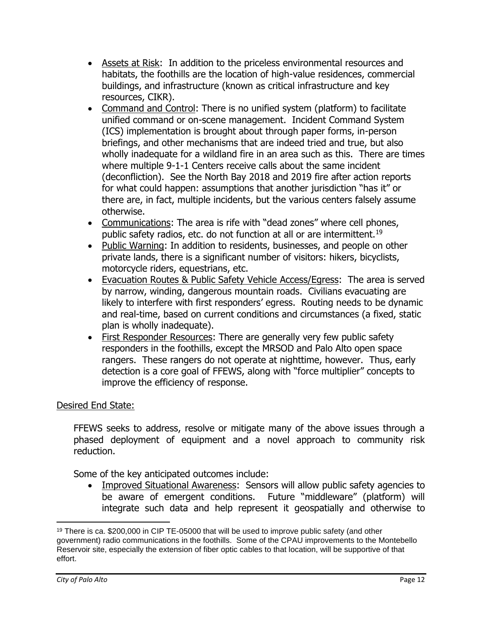- Assets at Risk: In addition to the priceless environmental resources and habitats, the foothills are the location of high-value residences, commercial buildings, and infrastructure (known as critical infrastructure and key resources, CIKR).
- Command and Control: There is no unified system (platform) to facilitate unified command or on-scene management. Incident Command System (ICS) implementation is brought about through paper forms, in-person briefings, and other mechanisms that are indeed tried and true, but also wholly inadequate for a wildland fire in an area such as this. There are times where multiple 9-1-1 Centers receive calls about the same incident (deconfliction). See the North Bay 2018 and 2019 fire after action reports for what could happen: assumptions that another jurisdiction "has it" or there are, in fact, multiple incidents, but the various centers falsely assume otherwise.
- Communications: The area is rife with "dead zones" where cell phones, public safety radios, etc. do not function at all or are intermittent.<sup>19</sup>
- Public Warning: In addition to residents, businesses, and people on other private lands, there is a significant number of visitors: hikers, bicyclists, motorcycle riders, equestrians, etc.
- Evacuation Routes & Public Safety Vehicle Access/Egress: The area is served by narrow, winding, dangerous mountain roads. Civilians evacuating are likely to interfere with first responders' egress. Routing needs to be dynamic and real-time, based on current conditions and circumstances (a fixed, static plan is wholly inadequate).
- First Responder Resources: There are generally very few public safety responders in the foothills, except the MRSOD and Palo Alto open space rangers. These rangers do not operate at nighttime, however. Thus, early detection is a core goal of FFEWS, along with "force multiplier" concepts to improve the efficiency of response.

# Desired End State:

FFEWS seeks to address, resolve or mitigate many of the above issues through a phased deployment of equipment and a novel approach to community risk reduction.

Some of the key anticipated outcomes include:

• Improved Situational Awareness: Sensors will allow public safety agencies to be aware of emergent conditions. Future "middleware" (platform) will integrate such data and help represent it geospatially and otherwise to

 $19$  There is ca. \$200,000 in CIP TE-05000 that will be used to improve public safety (and other government) radio communications in the foothills. Some of the CPAU improvements to the Montebello Reservoir site, especially the extension of fiber optic cables to that location, will be supportive of that effort.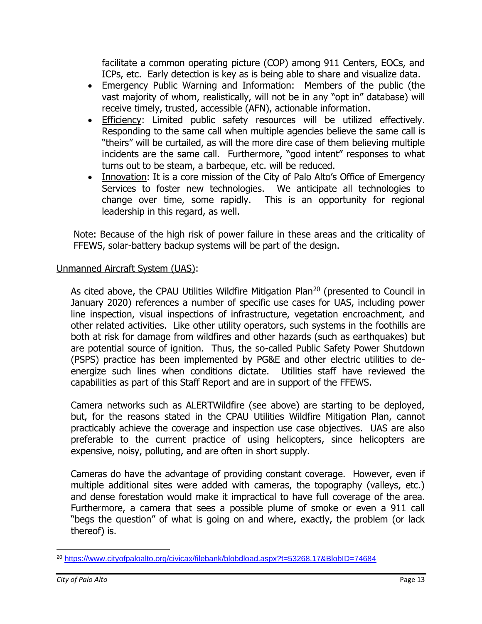facilitate a common operating picture (COP) among 911 Centers, EOCs, and ICPs, etc. Early detection is key as is being able to share and visualize data.

- Emergency Public Warning and Information: Members of the public (the vast majority of whom, realistically, will not be in any "opt in" database) will receive timely, trusted, accessible (AFN), actionable information.
- Efficiency: Limited public safety resources will be utilized effectively. Responding to the same call when multiple agencies believe the same call is "theirs" will be curtailed, as will the more dire case of them believing multiple incidents are the same call. Furthermore, "good intent" responses to what turns out to be steam, a barbeque, etc. will be reduced.
- Innovation: It is a core mission of the City of Palo Alto's Office of Emergency Services to foster new technologies. We anticipate all technologies to change over time, some rapidly. This is an opportunity for regional leadership in this regard, as well.

Note: Because of the high risk of power failure in these areas and the criticality of FFEWS, solar-battery backup systems will be part of the design.

### Unmanned Aircraft System (UAS):

As cited above, the CPAU Utilities Wildfire Mitigation Plan<sup>20</sup> (presented to Council in January 2020) references a number of specific use cases for UAS, including power line inspection, visual inspections of infrastructure, vegetation encroachment, and other related activities. Like other utility operators, such systems in the foothills are both at risk for damage from wildfires and other hazards (such as earthquakes) but are potential source of ignition. Thus, the so-called Public Safety Power Shutdown (PSPS) practice has been implemented by PG&E and other electric utilities to deenergize such lines when conditions dictate. Utilities staff have reviewed the capabilities as part of this Staff Report and are in support of the FFEWS.

Camera networks such as ALERTWildfire (see above) are starting to be deployed, but, for the reasons stated in the CPAU Utilities Wildfire Mitigation Plan, cannot practicably achieve the coverage and inspection use case objectives. UAS are also preferable to the current practice of using helicopters, since helicopters are expensive, noisy, polluting, and are often in short supply.

Cameras do have the advantage of providing constant coverage. However, even if multiple additional sites were added with cameras, the topography (valleys, etc.) and dense forestation would make it impractical to have full coverage of the area. Furthermore, a camera that sees a possible plume of smoke or even a 911 call "begs the question" of what is going on and where, exactly, the problem (or lack thereof) is.

<sup>20</sup> <https://www.cityofpaloalto.org/civicax/filebank/blobdload.aspx?t=53268.17&BlobID=74684>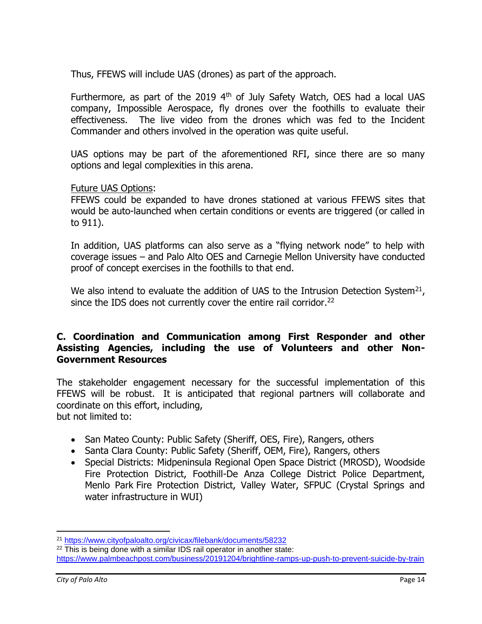Thus, FFEWS will include UAS (drones) as part of the approach.

Furthermore, as part of the 2019  $4<sup>th</sup>$  of July Safety Watch, OES had a local UAS company, Impossible Aerospace, fly drones over the foothills to evaluate their effectiveness. The live video from the drones which was fed to the Incident Commander and others involved in the operation was quite useful.

UAS options may be part of the aforementioned RFI, since there are so many options and legal complexities in this arena.

#### Future UAS Options:

FFEWS could be expanded to have drones stationed at various FFEWS sites that would be auto-launched when certain conditions or events are triggered (or called in to 911).

In addition, UAS platforms can also serve as a "flying network node" to help with coverage issues – and Palo Alto OES and Carnegie Mellon University have conducted proof of concept exercises in the foothills to that end.

We also intend to evaluate the addition of UAS to the Intrusion Detection System<sup>21</sup>, since the IDS does not currently cover the entire rail corridor.<sup>22</sup>

### **C. Coordination and Communication among First Responder and other Assisting Agencies, including the use of Volunteers and other Non-Government Resources**

The stakeholder engagement necessary for the successful implementation of this FFEWS will be robust. It is anticipated that regional partners will collaborate and coordinate on this effort, including, but not limited to:

- San Mateo County: Public Safety (Sheriff, OES, Fire), Rangers, others
- Santa Clara County: Public Safety (Sheriff, OEM, Fire), Rangers, others
- Special Districts: Midpeninsula Regional Open Space District (MROSD), Woodside Fire Protection District, Foothill-De Anza College District Police Department, Menlo Park Fire Protection District, Valley Water, SFPUC (Crystal Springs and water infrastructure in WUI)

<sup>21</sup> <https://www.cityofpaloalto.org/civicax/filebank/documents/58232>

<sup>&</sup>lt;sup>22</sup> This is being done with a similar IDS rail operator in another state: <https://www.palmbeachpost.com/business/20191204/brightline-ramps-up-push-to-prevent-suicide-by-train>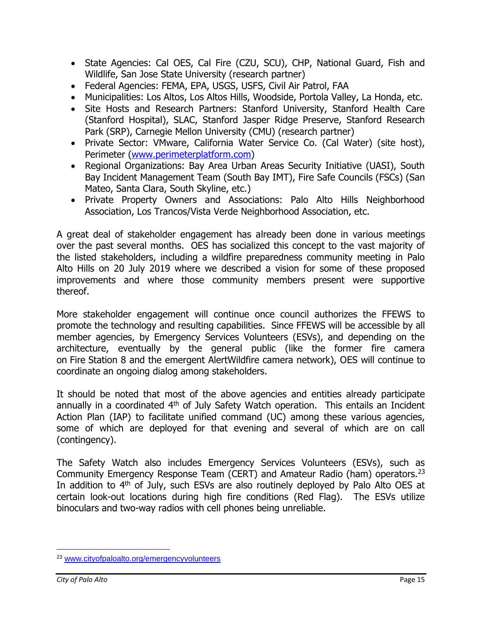- State Agencies: Cal OES, Cal Fire (CZU, SCU), CHP, National Guard, Fish and Wildlife, San Jose State University (research partner)
- Federal Agencies: FEMA, EPA, USGS, USFS, Civil Air Patrol, FAA
- Municipalities: Los Altos, Los Altos Hills, Woodside, Portola Valley, La Honda, etc.
- Site Hosts and Research Partners: Stanford University, Stanford Health Care (Stanford Hospital), SLAC, Stanford Jasper Ridge Preserve, Stanford Research Park (SRP), Carnegie Mellon University (CMU) (research partner)
- Private Sector: VMware, California Water Service Co. (Cal Water) (site host), Perimeter [\(www.perimeterplatform.com\)](http://www.perimeterplatform.com/)
- Regional Organizations: Bay Area Urban Areas Security Initiative (UASI), South Bay Incident Management Team (South Bay IMT), Fire Safe Councils (FSCs) (San Mateo, Santa Clara, South Skyline, etc.)
- Private Property Owners and Associations: Palo Alto Hills Neighborhood Association, Los Trancos/Vista Verde Neighborhood Association, etc.

A great deal of stakeholder engagement has already been done in various meetings over the past several months. OES has socialized this concept to the vast majority of the listed stakeholders, including a wildfire preparedness community meeting in Palo Alto Hills on 20 July 2019 where we described a vision for some of these proposed improvements and where those community members present were supportive thereof.

More stakeholder engagement will continue once council authorizes the FFEWS to promote the technology and resulting capabilities. Since FFEWS will be accessible by all member agencies, by Emergency Services Volunteers (ESVs), and depending on the architecture, eventually by the general public (like the former fire camera on Fire Station 8 and the emergent AlertWildfire camera network), OES will continue to coordinate an ongoing dialog among stakeholders.

It should be noted that most of the above agencies and entities already participate annually in a coordinated  $4<sup>th</sup>$  of July Safety Watch operation. This entails an Incident Action Plan (IAP) to facilitate unified command (UC) among these various agencies, some of which are deployed for that evening and several of which are on call (contingency).

The Safety Watch also includes Emergency Services Volunteers (ESVs), such as Community Emergency Response Team (CERT) and Amateur Radio (ham) operators.<sup>23</sup> In addition to  $4<sup>th</sup>$  of July, such ESVs are also routinely deployed by Palo Alto OES at certain look-out locations during high fire conditions (Red Flag). The ESVs utilize binoculars and two-way radios with cell phones being unreliable.

<sup>23</sup> [www.cityofpaloalto.org/emergencyvolunteers](http://www.cityofpaloalto.org/emergencyvolunteers)